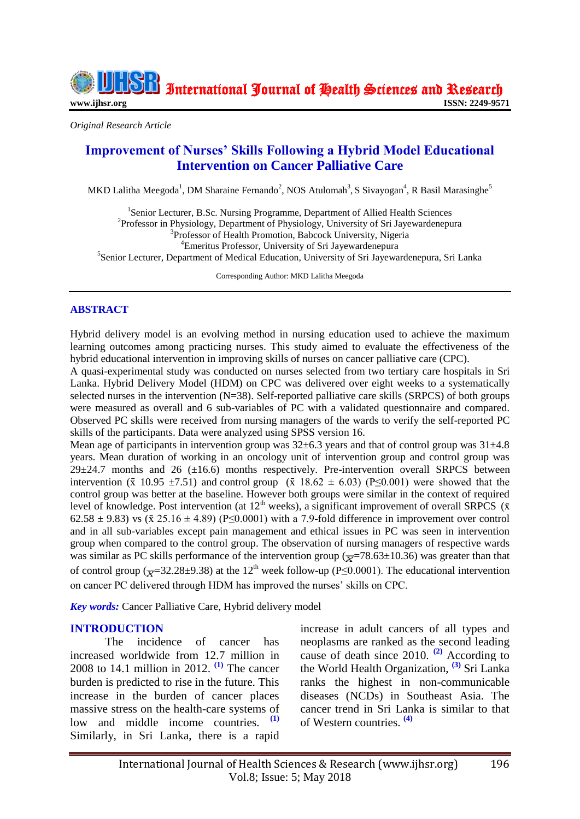International Journal of Health Sciences and Research

*Original Research Article*

# **Improvement of Nurses' Skills Following a Hybrid Model Educational Intervention on Cancer Palliative Care**

MKD Lalitha Meegoda<sup>1</sup>, DM Sharaine Fernando<sup>2</sup>, NOS Atulomah<sup>3</sup>, S Sivayogan<sup>4</sup>, R Basil Marasinghe<sup>5</sup>

<sup>1</sup>Senior Lecturer, B.Sc. Nursing Programme, Department of Allied Health Sciences <sup>2</sup>Professor in Physiology, Department of Physiology, University of Sri Jayewardenepura <sup>3</sup>Professor of Health Promotion, Babcock University, Nigeria <sup>4</sup>Emeritus Professor, University of Sri Jayewardenepura <sup>5</sup>Senior Lecturer, Department of Medical Education, University of Sri Jayewardenepura, Sri Lanka

Corresponding Author: MKD Lalitha Meegoda

## **ABSTRACT**

Hybrid delivery model is an evolving method in nursing education used to achieve the maximum learning outcomes among practicing nurses. This study aimed to evaluate the effectiveness of the hybrid educational intervention in improving skills of nurses on cancer palliative care (CPC).

A quasi-experimental study was conducted on nurses selected from two tertiary care hospitals in Sri Lanka. Hybrid Delivery Model (HDM) on CPC was delivered over eight weeks to a systematically selected nurses in the intervention (N=38). Self-reported palliative care skills (SRPCS) of both groups were measured as overall and 6 sub-variables of PC with a validated questionnaire and compared. Observed PC skills were received from nursing managers of the wards to verify the self-reported PC skills of the participants. Data were analyzed using SPSS version 16.

Mean age of participants in intervention group was  $32\pm6.3$  years and that of control group was  $31\pm4.8$ years. Mean duration of working in an oncology unit of intervention group and control group was  $29\pm24.7$  months and 26 ( $\pm16.6$ ) months respectively. Pre-intervention overall SRPCS between intervention ( $\bar{x}$  10.95 ±7.51) and control group ( $\bar{x}$  18.62 ± 6.03) (P≤0.001) were showed that the control group was better at the baseline. However both groups were similar in the context of required level of knowledge. Post intervention (at  $12<sup>th</sup>$  weeks), a significant improvement of overall SRPCS ( $\bar{x}$ 62.58  $\pm$  9.83) vs ( $\bar{x}$  25.16  $\pm$  4.89) (P $\leq$ 0.0001) with a 7.9-fold difference in improvement over control and in all sub-variables except pain management and ethical issues in PC was seen in intervention group when compared to the control group. The observation of nursing managers of respective wards was similar as PC skills performance of the intervention group ( $\overline{x}$ =78.63±10.36) was greater than that of control group ( $\overline{x}$ =32.28±9.38) at the 12<sup>th</sup> week follow-up (P≤0.0001). The educational intervention on cancer PC delivered through HDM has improved the nurses' skills on CPC.

*Key words:* Cancer Palliative Care, Hybrid delivery model

## **INTRODUCTION**

The incidence of cancer has increased worldwide from 12.7 million in 2008 to 14.1 million in 2012. **[\(1\)](#page-6-0)** The cancer burden is predicted to rise in the future. This increase in the burden of cancer places massive stress on the health-care systems of low and middle income countries. Similarly, in Sri Lanka, there is a rapid

increase in adult cancers of all types and neoplasms are ranked as the second leading cause of death since 2010. **[\(2\)](#page-6-1)** According to the World Health Organization, **[\(3\)](#page-6-2)** Sri Lanka ranks the highest in non-communicable diseases (NCDs) in Southeast Asia. The cancer trend in Sri Lanka is similar to that of Western countries. **[\(4\)](#page-6-3)**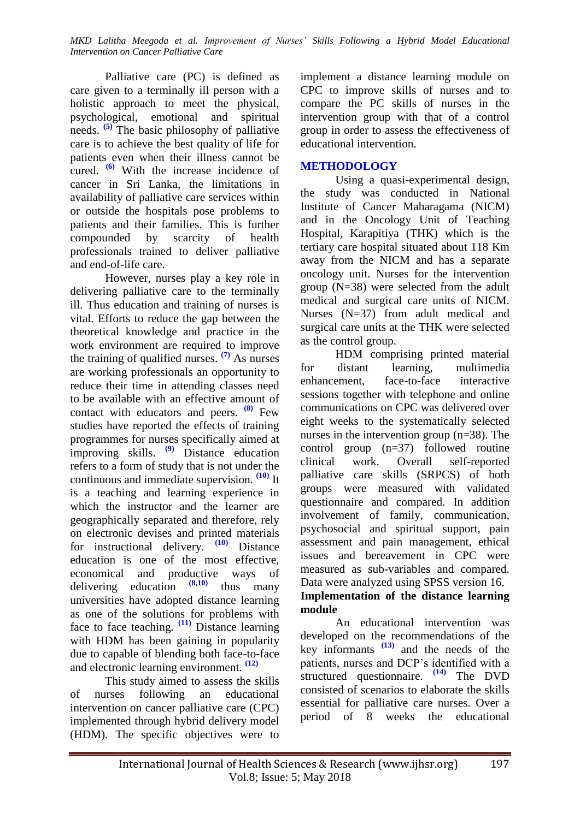Palliative care (PC) is defined as care given to a terminally ill person with a holistic approach to meet the physical, psychological, emotional and spiritual needs. **[\(5\)](#page-6-4)** The basic philosophy of palliative care is to achieve the best quality of life for patients even when their illness cannot be cured. **[\(6\)](#page-6-5)** With the increase incidence of cancer in Sri Lanka, the limitations in availability of palliative care services within or outside the hospitals pose problems to patients and their families. This is further compounded by scarcity of health professionals trained to deliver palliative and end-of-life care.

However, nurses play a key role in delivering palliative care to the terminally ill. Thus education and training of nurses is vital. Efforts to reduce the gap between the theoretical knowledge and practice in the work environment are required to improve the training of qualified nurses. **[\(7\)](#page-6-6)** As nurses are working professionals an opportunity to reduce their time in attending classes need to be available with an effective amount of contact with educators and peers. **[\(8\)](#page-6-7)** Few studies have reported the effects of training programmes for nurses specifically aimed at improving skills. **[\(9\)](#page-6-8)** Distance education refers to a form of study that is not under the continuous and immediate supervision. **[\(10\)](#page-6-9)** It is a teaching and learning experience in which the instructor and the learner are geographically separated and therefore, rely on electronic devises and printed materials for instructional delivery. **[\(10\)](#page-6-9)** Distance education is one of the most effective, economical and productive ways of<br>delivering education  $\frac{(8,10)}{(8,10)}$  thus many delivering education **[\(8,](#page-6-7)[10\)](#page-6-9)** thus many universities have adopted distance learning as one of the solutions for problems with face to face teaching. **[\(11\)](#page-6-10)** Distance learning with HDM has been gaining in popularity due to capable of blending both face-to-face and electronic learning environment. **[\(12\)](#page-6-11)**

This study aimed to assess the skills of nurses following an educational intervention on cancer palliative care (CPC) implemented through hybrid delivery model (HDM). The specific objectives were to

implement a distance learning module on CPC to improve skills of nurses and to compare the PC skills of nurses in the intervention group with that of a control group in order to assess the effectiveness of educational intervention.

## **METHODOLOGY**

Using a quasi-experimental design, the study was conducted in National Institute of Cancer Maharagama (NICM) and in the Oncology Unit of Teaching Hospital, Karapitiya (THK) which is the tertiary care hospital situated about 118 Km away from the NICM and has a separate oncology unit. Nurses for the intervention group (N=38) were selected from the adult medical and surgical care units of NICM. Nurses (N=37) from adult medical and surgical care units at the THK were selected as the control group.

HDM comprising printed material for distant learning, multimedia enhancement, face-to-face interactive sessions together with telephone and online communications on CPC was delivered over eight weeks to the systematically selected nurses in the intervention group (n=38). The control group (n=37) followed routine clinical work. Overall self-reported palliative care skills (SRPCS) of both groups were measured with validated questionnaire and compared. In addition involvement of family, communication, psychosocial and spiritual support, pain assessment and pain management, ethical issues and bereavement in CPC were measured as sub-variables and compared. Data were analyzed using SPSS version 16.

## **Implementation of the distance learning module**

An educational intervention was developed on the recommendations of the key informants **[\(13\)](#page-6-12)** and the needs of the patients, nurses and DCP's identified with a structured questionnaire. **[\(14\)](#page-6-13)** The DVD consisted of scenarios to elaborate the skills essential for palliative care nurses. Over a period of 8 weeks the educational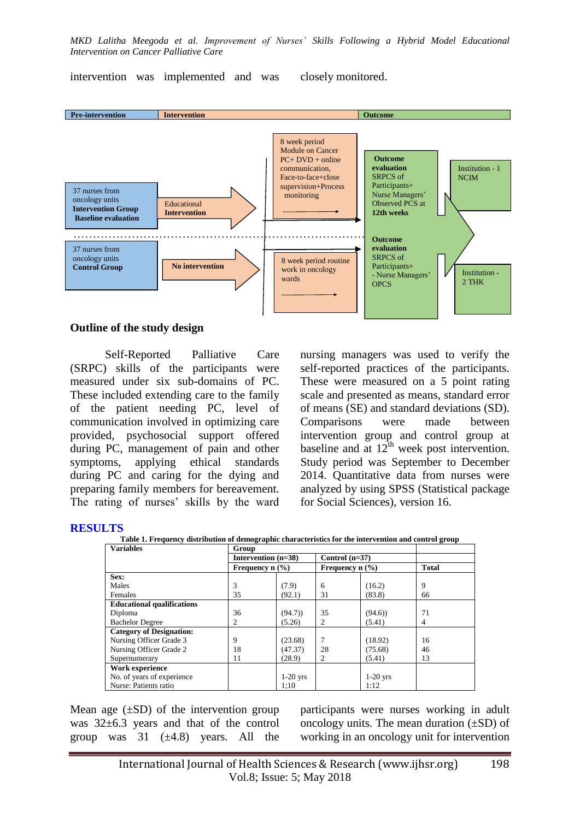intervention was implemented and was closely monitored.



#### **Outline of the study design**

Self-Reported Palliative Care (SRPC) skills of the participants were measured under six sub-domains of PC. These included extending care to the family of the patient needing PC, level of communication involved in optimizing care provided, psychosocial support offered during PC, management of pain and other symptoms, applying ethical standards during PC and caring for the dying and preparing family members for bereavement. The rating of nurses' skills by the ward

nursing managers was used to verify the self-reported practices of the participants. These were measured on a 5 point rating scale and presented as means, standard error of means (SE) and standard deviations (SD). Comparisons were made between intervention group and control group at baseline and at  $12^{\text{th}}$  week post intervention. Study period was September to December 2014. Quantitative data from nurses were analyzed by using SPSS (Statistical package for Social Sciences), version 16.

#### **RESULTS**

**Table 1. Frequency distribution of demographic characteristics for the intervention and control group**

| <b>Variables</b>                  | Group                 |                                        |                  |            |              |
|-----------------------------------|-----------------------|----------------------------------------|------------------|------------|--------------|
|                                   | Intervention $(n=38)$ |                                        | Control $(n=37)$ |            |              |
|                                   |                       | Frequency $n$ (%)<br>Frequency $n$ (%) |                  |            | <b>Total</b> |
| Sex:                              |                       |                                        |                  |            |              |
| Males                             | 3                     | (7.9)                                  | 6                | (16.2)     | 9            |
| Females                           | 35                    | (92.1)                                 | 31               | (83.8)     | 66           |
| <b>Educational qualifications</b> |                       |                                        |                  |            |              |
| Diploma                           | 36                    | (94.7)                                 | 35               | (94.6)     | 71           |
| <b>Bachelor Degree</b>            | 2                     | (5.26)                                 | 2                | (5.41)     | 4            |
| <b>Category of Designation:</b>   |                       |                                        |                  |            |              |
| Nursing Officer Grade 3           | 9                     | (23.68)                                |                  | (18.92)    | 16           |
| Nursing Officer Grade 2           | 18                    | (47.37)                                | 28               | (75.68)    | 46           |
| Supernumerary                     | 11                    | (28.9)                                 | 2                | (5.41)     | 13           |
| Work experience                   |                       |                                        |                  |            |              |
| No. of years of experience        |                       | $1-20$ yrs                             |                  | $1-20$ yrs |              |
| Nurse: Patients ratio             |                       | 1:10                                   |                  | 1:12       |              |

Mean age  $(\pm SD)$  of the intervention group was 32±6.3 years and that of the control group was  $31 \left(\pm 4.8\right)$  years. All the

participants were nurses working in adult oncology units. The mean duration  $(\pm SD)$  of working in an oncology unit for intervention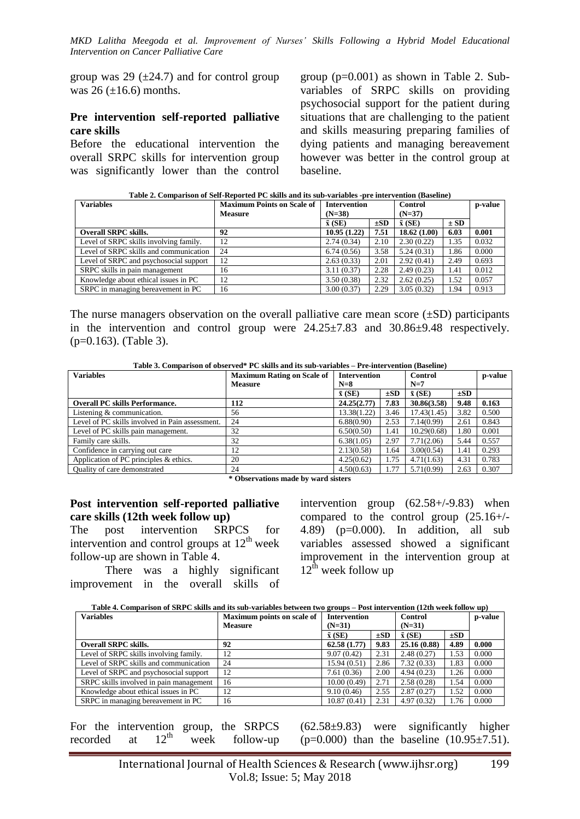group was 29  $(\pm 24.7)$  and for control group was  $26 (\pm 16.6)$  months.

#### **Pre intervention self-reported palliative care skills**

Before the educational intervention the overall SRPC skills for intervention group was significantly lower than the control group (p=0.001) as shown in Table 2. Subvariables of SRPC skills on providing psychosocial support for the patient during situations that are challenging to the patient and skills measuring preparing families of dying patients and managing bereavement however was better in the control group at baseline.

**Table 2. Comparison of Self-Reported PC skills and its sub-variables -pre intervention (Baseline)**

| <b>Variables</b>                       | <b>Maximum Points on Scale of</b> | <b>Intervention</b> |          | <b>Control</b> |          | p-value |
|----------------------------------------|-----------------------------------|---------------------|----------|----------------|----------|---------|
|                                        | <b>Measure</b>                    | $(N=38)$            |          |                | $(N=37)$ |         |
|                                        |                                   | $\bar{x}$ (SE)      | $\pm SD$ | $\bar{x}$ (SE) | $\pm$ SD |         |
| <b>Overall SRPC skills.</b>            | 92                                | 10.95(1.22)         | 7.51     | 18.62(1.00)    | 6.03     | 0.001   |
| Level of SRPC skills involving family. | 12                                | 2.74(0.34)          | 2.10     | 2.30(0.22)     | 1.35     | 0.032   |
| Level of SRPC skills and communication | 24                                | 6.74(0.56)          | 3.58     | 5.24(0.31)     | 1.86     | 0.000   |
| Level of SRPC and psychosocial support | 12                                | 2.63(0.33)          | 2.01     | 2.92(0.41)     | 2.49     | 0.693   |
| SRPC skills in pain management         | 16                                | 3.11(0.37)          | 2.28     | 2.49(0.23)     | 1.41     | 0.012   |
| Knowledge about ethical issues in PC   | 12                                | 3.50(0.38)          | 2.32     | 2.62(0.25)     | 1.52     | 0.057   |
| SRPC in managing bereavement in PC     | 16                                | 3.00(0.37)          | 2.29     | 3.05(0.32)     | 1.94     | 0.913   |

The nurse managers observation on the overall palliative care mean score  $(\pm SD)$  participants in the intervention and control group were 24.25±7.83 and 30.86±9.48 respectively. (p=0.163). (Table 3).

**Table 3. Comparison of observed\* PC skills and its sub-variables – Pre-intervention (Baseline)**

| <b>Variables</b>                                | <b>Maximum Rating on Scale of</b>              | <b>Intervention</b> |          | <b>Control</b> |          | p-value |
|-------------------------------------------------|------------------------------------------------|---------------------|----------|----------------|----------|---------|
|                                                 | <b>Measure</b>                                 | $N=8$               |          | $N=7$          |          |         |
|                                                 |                                                | $\bar{x}$ (SE)      | $\pm SD$ | $\bar{x}$ (SE) | $\pm SD$ |         |
| <b>Overall PC skills Performance.</b>           | 112                                            | 24.25(2.77)         | 7.83     | 30.86(3.58)    | 9.48     | 0.163   |
| Listening & communication.                      | 56                                             | 13.38(1.22)         | 3.46     | 17.43(1.45)    | 3.82     | 0.500   |
| Level of PC skills involved in Pain assessment. | 24                                             | 6.88(0.90)          | 2.53     | 7.14(0.99)     | 2.61     | 0.843   |
| Level of PC skills pain management.             | 32                                             | 6.50(0.50)          | 1.41     | 10.29(0.68)    | 1.80     | 0.001   |
| Family care skills.                             | 32                                             | 6.38(1.05)          | 2.97     | 7.71(2.06)     | 5.44     | 0.557   |
| Confidence in carrying out care                 | 12                                             | 2.13(0.58)          | 1.64     | 3.00(0.54)     | 1.41     | 0.293   |
| Application of PC principles & ethics.          | 20                                             | 4.25(0.62)          | 1.75     | 4.71(1.63)     | 4.31     | 0.783   |
| Quality of care demonstrated                    | 24<br>$\sim$ $\sim$ $\sim$<br>$\cdot$ .<br>. . | 4.50(0.63)<br>.     | 1.77     | 5.71(0.99)     | 2.63     | 0.307   |

**\* Observations made by ward sisters**

## **Post intervention self-reported palliative care skills (12th week follow up)**

The post intervention SRPCS for intervention and control groups at  $12<sup>th</sup>$  week follow-up are shown in Table 4.

There was a highly significant improvement in the overall skills of

intervention group (62.58+/-9.83) when compared to the control group (25.16+/- 4.89) (p=0.000). In addition, all sub variables assessed showed a significant improvement in the intervention group at  $12^{\text{th}}$  week follow up

**Table 4. Comparison of SRPC skills and its sub-variables between two groups – Post intervention (12th week follow up)**

| <b>Variables</b>                        | <b>Maximum points on scale of</b> | <b>Intervention</b> |          | Control        |          | p-value |
|-----------------------------------------|-----------------------------------|---------------------|----------|----------------|----------|---------|
|                                         | <b>Measure</b>                    | $(N=31)$            |          | $(N=31)$       |          |         |
|                                         |                                   | $\bar{x}$ (SE)      | $\pm SD$ | $\bar{x}$ (SE) | $\pm SD$ |         |
| <b>Overall SRPC skills.</b>             | 92                                | 62.58(1.77)         | 9.83     | 25.16(0.88)    | 4.89     | 0.000   |
| Level of SRPC skills involving family.  | 12                                | 9.07(0.42)          | 2.31     | 2.48(0.27)     | 1.53     | 0.000   |
| Level of SRPC skills and communication  | 24                                | 15.94(0.51)         | 2.86     | 7.32(0.33)     | 1.83     | 0.000   |
| Level of SRPC and psychosocial support  | 12                                | 7.61(0.36)          | 2.00     | 4.94(0.23)     | 1.26     | 0.000   |
| SRPC skills involved in pain management | 16                                | 10.00(0.49)         | 2.71     | 2.58(0.28)     | 1.54     | 0.000   |
| Knowledge about ethical issues in PC    | 12                                | 9.10(0.46)          | 2.55     | 2.87(0.27)     | 1.52     | 0.000   |
| SRPC in managing bereavement in PC      | 16                                | 10.87(0.41)         | 2.31     | 4.97(0.32)     | 1.76     | 0.000   |

|  |  |  | For the intervention group, the SRPCS |
|--|--|--|---------------------------------------|
|  |  |  | recorded at $12^{th}$ week follow-up  |

(62.58±9.83) were significantly higher  $(p=0.000)$  than the baseline  $(10.95\pm7.51)$ .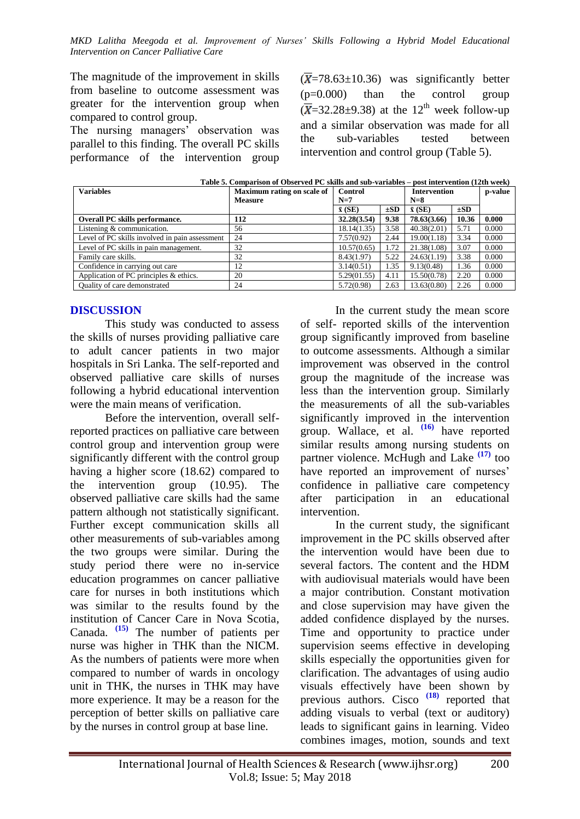The magnitude of the improvement in skills from baseline to outcome assessment was greater for the intervention group when compared to control group.

The nursing managers' observation was parallel to this finding. The overall PC skills performance of the intervention group  $(\overline{X}$ =78.63±10.36) was significantly better (p=0.000) than the control group  $\overline{X}$ =32.28±9.38) at the 12<sup>th</sup> week follow-up and a similar observation was made for all the sub-variables tested between intervention and control group (Table 5).

| <b>Variables</b>                               | Maximum rating on scale of<br><b>Measure</b> | <b>Control</b><br>$N=7$ |          | <b>Intervention</b><br>$N=8$ |          | p-value |
|------------------------------------------------|----------------------------------------------|-------------------------|----------|------------------------------|----------|---------|
|                                                |                                              | $\bar{x}$ (SE)          | $\pm SD$ | $\bar{x}$ (SE)               | $\pm SD$ |         |
| Overall PC skills performance.                 | 112                                          | 32.28(3.54)             | 9.38     | 78.63(3.66)                  | 10.36    | 0.000   |
| Listening & communication.                     | 56                                           | 18.14(1.35)             | 3.58     | 40.38(2.01)                  | 5.71     | 0.000   |
| Level of PC skills involved in pain assessment | 24                                           | 7.57(0.92)              | 2.44     | 19.00(1.18)                  | 3.34     | 0.000   |
| Level of PC skills in pain management.         | 32                                           | 10.57(0.65)             | 1.72     | 21.38(1.08)                  | 3.07     | 0.000   |
| Family care skills.                            | 32                                           | 8.43(1.97)              | 5.22     | 24.63(1.19)                  | 3.38     | 0.000   |
| Confidence in carrying out care                | 12                                           | 3.14(0.51)              | 1.35     | 9.13(0.48)                   | 1.36     | 0.000   |
| Application of PC principles & ethics.         | 20                                           | 5.29(01.55)             | 4.11     | 15.50(0.78)                  | 2.20     | 0.000   |
| Quality of care demonstrated                   | 24                                           | 5.72(0.98)              | 2.63     | 13.63(0.80)                  | 2.26     | 0.000   |

**Table 5. Comparison of Observed PC skills and sub-variables – post intervention (12th week)** 

## **DISCUSSION**

This study was conducted to assess the skills of nurses providing palliative care to adult cancer patients in two major hospitals in Sri Lanka. The self-reported and observed palliative care skills of nurses following a hybrid educational intervention were the main means of verification.

Before the intervention, overall selfreported practices on palliative care between control group and intervention group were significantly different with the control group having a higher score (18.62) compared to the intervention group (10.95). The observed palliative care skills had the same pattern although not statistically significant. Further except communication skills all other measurements of sub-variables among the two groups were similar. During the study period there were no in-service education programmes on cancer palliative care for nurses in both institutions which was similar to the results found by the institution of Cancer Care in Nova Scotia, Canada. **[\(15\)](#page-6-14)** The number of patients per nurse was higher in THK than the NICM. As the numbers of patients were more when compared to number of wards in oncology unit in THK, the nurses in THK may have more experience. It may be a reason for the perception of better skills on palliative care by the nurses in control group at base line.

In the current study the mean score of self- reported skills of the intervention group significantly improved from baseline to outcome assessments. Although a similar improvement was observed in the control group the magnitude of the increase was less than the intervention group. Similarly the measurements of all the sub-variables significantly improved in the intervention group. Wallace, et al. **[\(16\)](#page-6-15)** have reported similar results among nursing students on partner violence. McHugh and Lake<sup>[\(17\)](#page-7-0)</sup> too have reported an improvement of nurses' confidence in palliative care competency after participation in an educational intervention.

In the current study, the significant improvement in the PC skills observed after the intervention would have been due to several factors. The content and the HDM with audiovisual materials would have been a major contribution. Constant motivation and close supervision may have given the added confidence displayed by the nurses. Time and opportunity to practice under supervision seems effective in developing skills especially the opportunities given for clarification. The advantages of using audio visuals effectively have been shown by previous authors. Cisco<sup>[\(18\)](#page-7-1)</sup> reported that adding visuals to verbal (text or auditory) leads to significant gains in learning. Video combines images, motion, sounds and text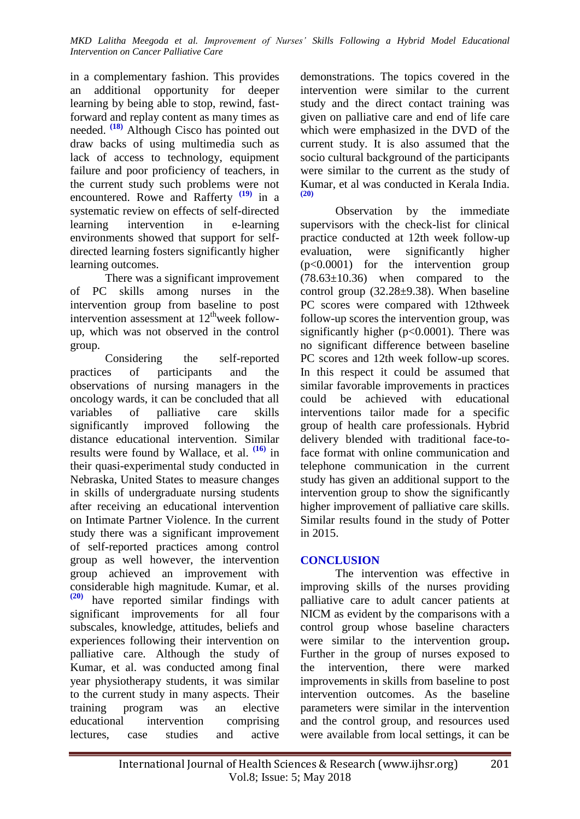in a complementary fashion. This provides an additional opportunity for deeper learning by being able to stop, rewind, fastforward and replay content as many times as needed. **[\(18\)](#page-7-1)** Although Cisco has pointed out draw backs of using multimedia such as lack of access to technology, equipment failure and poor proficiency of teachers, in the current study such problems were not encountered. Rowe and Rafferty **[\(19\)](#page-7-2)** in a systematic review on effects of self-directed learning intervention in e-learning environments showed that support for selfdirected learning fosters significantly higher learning outcomes.

There was a significant improvement of PC skills among nurses in the intervention group from baseline to post intervention assessment at  $12^{\text{th}}$ week followup, which was not observed in the control group.

Considering the self-reported practices of participants and the observations of nursing managers in the oncology wards, it can be concluded that all variables of palliative care skills significantly improved following the distance educational intervention. Similar results were found by Wallace, et al. **[\(16\)](#page-6-15)** in their quasi-experimental study conducted in Nebraska, United States to measure changes in skills of undergraduate nursing students after receiving an educational intervention on Intimate Partner Violence. In the current study there was a significant improvement of self-reported practices among control group as well however, the intervention group achieved an improvement with considerable high magnitude. Kumar, et al. **[\(20\)](#page-7-3)** have reported similar findings with significant improvements for all four subscales, knowledge, attitudes, beliefs and experiences following their intervention on palliative care. Although the study of Kumar, et al. was conducted among final year physiotherapy students, it was similar to the current study in many aspects. Their training program was an elective educational intervention comprising lectures, case studies and active

demonstrations. The topics covered in the intervention were similar to the current study and the direct contact training was given on palliative care and end of life care which were emphasized in the DVD of the current study. It is also assumed that the socio cultural background of the participants were similar to the current as the study of Kumar, et al was conducted in Kerala India. **[\(20\)](#page-7-3)**

Observation by the immediate supervisors with the check-list for clinical practice conducted at 12th week follow-up evaluation, were significantly higher (p<0.0001) for the intervention group  $(78.63\pm10.36)$  when compared to the control group (32.28±9.38). When baseline PC scores were compared with 12thweek follow-up scores the intervention group, was significantly higher  $(p<0.0001)$ . There was no significant difference between baseline PC scores and 12th week follow-up scores. In this respect it could be assumed that similar favorable improvements in practices could be achieved with educational interventions tailor made for a specific group of health care professionals. Hybrid delivery blended with traditional face-toface format with online communication and telephone communication in the current study has given an additional support to the intervention group to show the significantly higher improvement of palliative care skills. Similar results found in the study of Potter in 2015.

## **CONCLUSION**

The intervention was effective in improving skills of the nurses providing palliative care to adult cancer patients at NICM as evident by the comparisons with a control group whose baseline characters were similar to the intervention group**.**  Further in the group of nurses exposed to the intervention, there were marked improvements in skills from baseline to post intervention outcomes. As the baseline parameters were similar in the intervention and the control group, and resources used were available from local settings, it can be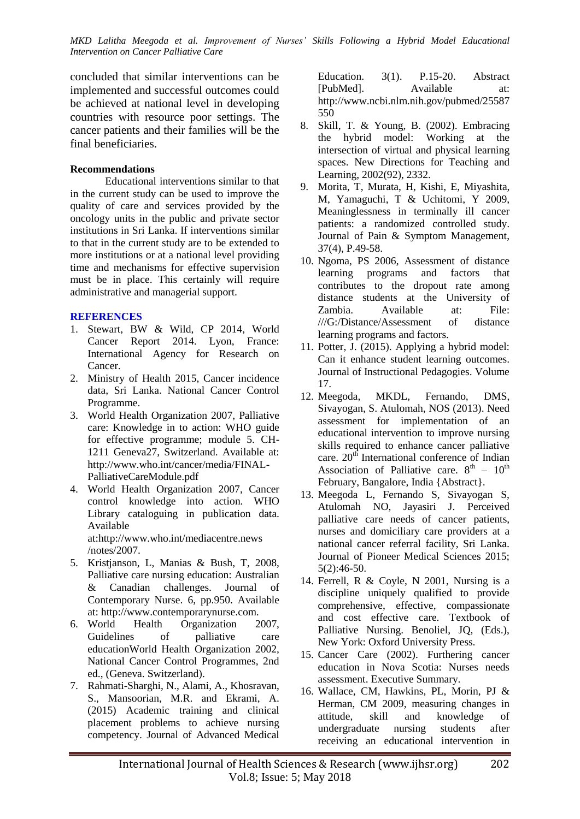concluded that similar interventions can be implemented and successful outcomes could be achieved at national level in developing countries with resource poor settings. The cancer patients and their families will be the final beneficiaries.

## **Recommendations**

Educational interventions similar to that in the current study can be used to improve the quality of care and services provided by the oncology units in the public and private sector institutions in Sri Lanka. If interventions similar to that in the current study are to be extended to more institutions or at a national level providing time and mechanisms for effective supervision must be in place. This certainly will require administrative and managerial support.

#### **REFERENCES**

- <span id="page-6-0"></span>1. Stewart, BW & Wild, CP 2014, World Cancer Report 2014. Lyon, France: International Agency for Research on Cancer.
- <span id="page-6-1"></span>2. Ministry of Health 2015, Cancer incidence data, Sri Lanka. National Cancer Control Programme.
- <span id="page-6-2"></span>3. World Health Organization 2007, Palliative care: Knowledge in to action: WHO guide for effective programme; module 5. CH-1211 Geneva27, Switzerland. Available at: [http://www.who.int/cancer/media/FINAL-](http://www.who.int/cancer/media/FINAL-PalliativeCareModule.pdf)[PalliativeCareModule.pdf](http://www.who.int/cancer/media/FINAL-PalliativeCareModule.pdf)
- <span id="page-6-3"></span>4. World Health Organization 2007, Cancer control knowledge into action. WHO Library cataloguing in publication data. Available at:http://www.who.int/mediacentre.news /notes/2007.
- <span id="page-6-4"></span>5. Kristjanson, L, Manias & Bush, T, 2008, Palliative care nursing education: Australian & Canadian challenges. Journal of Contemporary Nurse. 6, pp.950. Available at[: http://www.contemporarynurse.com.](http://www.contemporarynurse.com/)
- <span id="page-6-5"></span>6. World Health Organization 2007, Guidelines of palliative care educationWorld Health Organization 2002, National Cancer Control Programmes, 2nd ed., (Geneva. Switzerland).
- <span id="page-6-6"></span>7. Rahmati-Sharghi, N., Alami, A., Khosravan, S., Mansoorian, M.R. and Ekrami, A. (2015) Academic training and clinical placement problems to achieve nursing competency. Journal of Advanced Medical

Education. 3(1). P.15-20. Abstract [PubMed]. Available at: [http://www.ncbi.nlm.nih.gov/pubmed/25587](http://www.ncbi.nlm.nih.gov/pubmed/25587550) [550](http://www.ncbi.nlm.nih.gov/pubmed/25587550)

- <span id="page-6-7"></span>8. Skill, T. & Young, B. (2002). Embracing the hybrid model: Working at the intersection of virtual and physical learning spaces. New Directions for Teaching and Learning, 2002(92), 2332.
- <span id="page-6-8"></span>9. Morita, T, Murata, H, Kishi, E, Miyashita, M, Yamaguchi, T & Uchitomi, Y 2009, Meaninglessness in terminally ill cancer patients: a randomized controlled study. Journal of Pain & Symptom Management, 37(4), P.49-58.
- <span id="page-6-9"></span>10. Ngoma, PS 2006, Assessment of distance learning programs and factors that contributes to the dropout rate among distance students at the University of Zambia. Available at: File: ///G:/Distance/Assessment of distance learning programs and factors.
- <span id="page-6-10"></span>11. Potter, J. (2015). Applying a hybrid model: Can it enhance student learning outcomes. Journal of Instructional Pedagogies. Volume 17.
- <span id="page-6-11"></span>12. Meegoda, MKDL, Fernando, DMS, Sivayogan, S. Atulomah, NOS (2013). Need assessment for implementation of an educational intervention to improve nursing skills required to enhance cancer palliative care.  $20<sup>th</sup>$  International conference of Indian Association of Palliative care.  $8<sup>th</sup> - 10<sup>th</sup>$ February, Bangalore, India {Abstract}.
- <span id="page-6-12"></span>13. Meegoda L, Fernando S, Sivayogan S, Atulomah NO, Jayasiri J. Perceived palliative care needs of cancer patients, nurses and domiciliary care providers at a national cancer referral facility, Sri Lanka. Journal of Pioneer Medical Sciences 2015; 5(2):46-50.
- <span id="page-6-13"></span>14. Ferrell, R & Coyle, N 2001, Nursing is a discipline uniquely qualified to provide comprehensive, effective, compassionate and cost effective care. Textbook of Palliative Nursing. Benoliel, JQ, (Eds.), New York: Oxford University Press.
- <span id="page-6-14"></span>15. Cancer Care (2002). Furthering cancer education in Nova Scotia: Nurses needs assessment. Executive Summary.
- <span id="page-6-15"></span>16. Wallace, CM, Hawkins, PL, Morin, PJ & Herman, CM 2009, measuring changes in attitude, skill and knowledge of undergraduate nursing students after receiving an educational intervention in